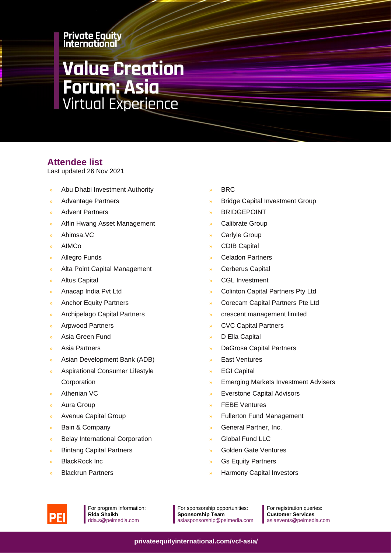#### **Private Equity** International

# **Value Creation Forum: Asia<br>Virtual Experience**

### **Attendee list**

Last updated 26 Nov 2021

- » Abu Dhabi Investment Authority
- » Advantage Partners
- » Advent Partners
- » Affin Hwang Asset Management
- » Ahimsa.VC
- » AIMCo
- » Allegro Funds
- Alta Point Capital Management
- » Altus Capital
- » Anacap India Pvt Ltd
- » Anchor Equity Partners
- » Archipelago Capital Partners
- » Arpwood Partners
- » Asia Green Fund
- » Asia Partners
- » Asian Development Bank (ADB)
- » Aspirational Consumer Lifestyle Corporation
- » Athenian VC
- » Aura Group
- » Avenue Capital Group
- Bain & Company
- » Belay International Corporation
- » Bintang Capital Partners
- » BlackRock Inc
- » Blackrun Partners
- » BRC
- » Bridge Capital Investment Group
- **BRIDGEPOINT**
- Calibrate Group
- Carlyle Group
- » CDIB Capital
- » Celadon Partners
- » Cerberus Capital
- CGL Investment
- » Colinton Capital Partners Pty Ltd
- » Corecam Capital Partners Pte Ltd
- » crescent management limited
- » CVC Capital Partners
- » D Ella Capital
- » DaGrosa Capital Partners
- » East Ventures
- **EGI Capital**
- » Emerging Markets Investment Advisers
- » Everstone Capital Advisors
- **FEBE Ventures**
- » Fullerton Fund Management
- » General Partner, Inc.
- » Global Fund LLC
- » Golden Gate Ventures
- Gs Equity Partners
- » Harmony Capital Investors



For program information: **Rida Shaikh** [rida.s@peimedia.com](mailto:rida.s@peimedia.com)

For sponsorship opportunities: **Sponsorship Team** [asiasponsorship@peimedia.com](mailto:asiasponsorship@peimedia.com)

For registration queries: **Customer Services** [asiaevents@peimedia.com](mailto:asiaevents@peimedia.com)